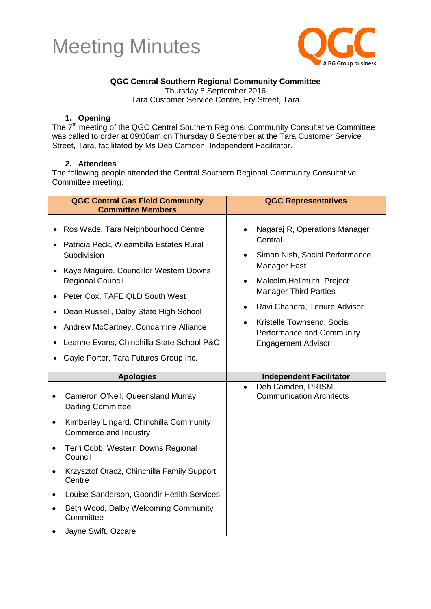



#### **QGC Central Southern Regional Community Committee**

Thursday 8 September 2016

Tara Customer Service Centre, Fry Street, Tara

#### **1. Opening**

The 7<sup>th</sup> meeting of the QGC Central Southern Regional Community Consultative Committee was called to order at 09:00am on Thursday 8 September at the Tara Customer Service Street, Tara, facilitated by Ms Deb Camden, Independent Facilitator.

#### **2. Attendees**

The following people attended the Central Southern Regional Community Consultative Committee meeting:

|                        | <b>QGC Central Gas Field Community</b><br><b>Committee Members</b>                                                                                                                                                                                                                                                                                                          | <b>QGC Representatives</b>                                                                                                                                                                                                                                                                                                          |
|------------------------|-----------------------------------------------------------------------------------------------------------------------------------------------------------------------------------------------------------------------------------------------------------------------------------------------------------------------------------------------------------------------------|-------------------------------------------------------------------------------------------------------------------------------------------------------------------------------------------------------------------------------------------------------------------------------------------------------------------------------------|
| $\bullet$<br>$\bullet$ | Ros Wade, Tara Neighbourhood Centre<br>Patricia Peck, Wieambilla Estates Rural<br>Subdivision<br>Kaye Maguire, Councillor Western Downs<br><b>Regional Council</b><br>Peter Cox, TAFE QLD South West<br>Dean Russell, Dalby State High School<br>Andrew McCartney, Condamine Alliance<br>Leanne Evans, Chinchilla State School P&C<br>Gayle Porter, Tara Futures Group Inc. | Nagaraj R, Operations Manager<br>Central<br>Simon Nish, Social Performance<br>$\bullet$<br>Manager East<br>Malcolm Hellmuth, Project<br>$\bullet$<br><b>Manager Third Parties</b><br>Ravi Chandra, Tenure Advisor<br>$\bullet$<br>Kristelle Townsend, Social<br>$\bullet$<br>Performance and Community<br><b>Engagement Advisor</b> |
|                        |                                                                                                                                                                                                                                                                                                                                                                             |                                                                                                                                                                                                                                                                                                                                     |
|                        |                                                                                                                                                                                                                                                                                                                                                                             |                                                                                                                                                                                                                                                                                                                                     |
|                        | <b>Apologies</b><br>Cameron O'Neil, Queensland Murray<br><b>Darling Committee</b>                                                                                                                                                                                                                                                                                           | <b>Independent Facilitator</b><br>Deb Camden, PRISM<br>$\bullet$<br><b>Communication Architects</b>                                                                                                                                                                                                                                 |
| $\bullet$              | Kimberley Lingard, Chinchilla Community<br>Commerce and Industry                                                                                                                                                                                                                                                                                                            |                                                                                                                                                                                                                                                                                                                                     |
| $\bullet$              | Terri Cobb, Western Downs Regional<br>Council                                                                                                                                                                                                                                                                                                                               |                                                                                                                                                                                                                                                                                                                                     |
|                        | Krzysztof Oracz, Chinchilla Family Support<br>Centre                                                                                                                                                                                                                                                                                                                        |                                                                                                                                                                                                                                                                                                                                     |
|                        | Louise Sanderson, Goondir Health Services                                                                                                                                                                                                                                                                                                                                   |                                                                                                                                                                                                                                                                                                                                     |
|                        | Beth Wood, Dalby Welcoming Community<br>Committee                                                                                                                                                                                                                                                                                                                           |                                                                                                                                                                                                                                                                                                                                     |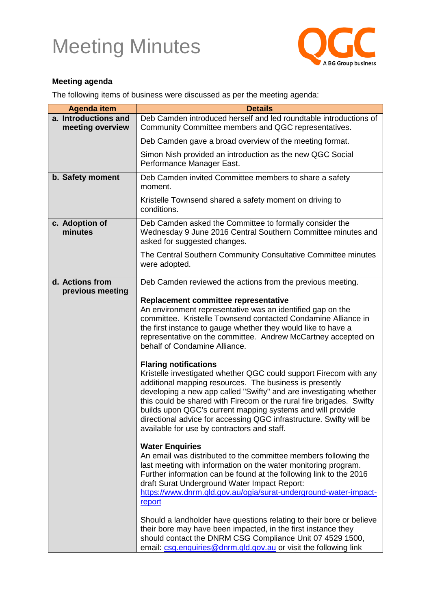

#### **Meeting agenda**

The following items of business were discussed as per the meeting agenda:

| <b>Agenda item</b>                       | <b>Details</b>                                                                                                                                                                                                                                                                                                                                                                                                                                                                                                                                                                                                                                                                                                                                                                            |
|------------------------------------------|-------------------------------------------------------------------------------------------------------------------------------------------------------------------------------------------------------------------------------------------------------------------------------------------------------------------------------------------------------------------------------------------------------------------------------------------------------------------------------------------------------------------------------------------------------------------------------------------------------------------------------------------------------------------------------------------------------------------------------------------------------------------------------------------|
| a. Introductions and<br>meeting overview | Deb Camden introduced herself and led roundtable introductions of<br>Community Committee members and QGC representatives.                                                                                                                                                                                                                                                                                                                                                                                                                                                                                                                                                                                                                                                                 |
|                                          | Deb Camden gave a broad overview of the meeting format.                                                                                                                                                                                                                                                                                                                                                                                                                                                                                                                                                                                                                                                                                                                                   |
|                                          | Simon Nish provided an introduction as the new QGC Social<br>Performance Manager East.                                                                                                                                                                                                                                                                                                                                                                                                                                                                                                                                                                                                                                                                                                    |
| b. Safety moment                         | Deb Camden invited Committee members to share a safety<br>moment.                                                                                                                                                                                                                                                                                                                                                                                                                                                                                                                                                                                                                                                                                                                         |
|                                          | Kristelle Townsend shared a safety moment on driving to<br>conditions.                                                                                                                                                                                                                                                                                                                                                                                                                                                                                                                                                                                                                                                                                                                    |
| c. Adoption of<br>minutes                | Deb Camden asked the Committee to formally consider the<br>Wednesday 9 June 2016 Central Southern Committee minutes and<br>asked for suggested changes.                                                                                                                                                                                                                                                                                                                                                                                                                                                                                                                                                                                                                                   |
|                                          | The Central Southern Community Consultative Committee minutes<br>were adopted.                                                                                                                                                                                                                                                                                                                                                                                                                                                                                                                                                                                                                                                                                                            |
| d. Actions from<br>previous meeting      | Deb Camden reviewed the actions from the previous meeting.                                                                                                                                                                                                                                                                                                                                                                                                                                                                                                                                                                                                                                                                                                                                |
|                                          | Replacement committee representative<br>An environment representative was an identified gap on the<br>committee. Kristelle Townsend contacted Condamine Alliance in<br>the first instance to gauge whether they would like to have a<br>representative on the committee. Andrew McCartney accepted on<br>behalf of Condamine Alliance.<br><b>Flaring notifications</b><br>Kristelle investigated whether QGC could support Firecom with any<br>additional mapping resources. The business is presently<br>developing a new app called "Swifty" and are investigating whether<br>this could be shared with Firecom or the rural fire brigades. Swifty<br>builds upon QGC's current mapping systems and will provide<br>directional advice for accessing QGC infrastructure. Swifty will be |
|                                          | available for use by contractors and staff.                                                                                                                                                                                                                                                                                                                                                                                                                                                                                                                                                                                                                                                                                                                                               |
|                                          | <b>Water Enquiries</b><br>An email was distributed to the committee members following the<br>last meeting with information on the water monitoring program.<br>Further information can be found at the following link to the 2016<br>draft Surat Underground Water Impact Report:<br>https://www.dnrm.qld.gov.au/ogia/surat-underground-water-impact-<br>report                                                                                                                                                                                                                                                                                                                                                                                                                           |
|                                          | Should a landholder have questions relating to their bore or believe<br>their bore may have been impacted, in the first instance they<br>should contact the DNRM CSG Compliance Unit 07 4529 1500,<br>email: csg.enquiries@dnrm.qld.gov.au or visit the following link                                                                                                                                                                                                                                                                                                                                                                                                                                                                                                                    |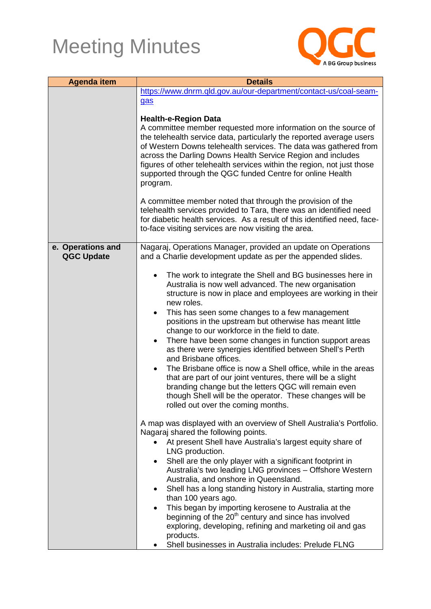

| <b>Agenda item</b> | <b>Details</b>                                                                                         |  |
|--------------------|--------------------------------------------------------------------------------------------------------|--|
|                    | https://www.dnrm.qld.gov.au/our-department/contact-us/coal-seam-                                       |  |
|                    | gas                                                                                                    |  |
|                    | <b>Health-e-Region Data</b>                                                                            |  |
|                    | A committee member requested more information on the source of                                         |  |
|                    | the telehealth service data, particularly the reported average users                                   |  |
|                    | of Western Downs telehealth services. The data was gathered from                                       |  |
|                    | across the Darling Downs Health Service Region and includes                                            |  |
|                    | figures of other telehealth services within the region, not just those                                 |  |
|                    | supported through the QGC funded Centre for online Health<br>program.                                  |  |
|                    |                                                                                                        |  |
|                    | A committee member noted that through the provision of the                                             |  |
|                    | telehealth services provided to Tara, there was an identified need                                     |  |
|                    | for diabetic health services. As a result of this identified need, face-                               |  |
|                    | to-face visiting services are now visiting the area.                                                   |  |
| e. Operations and  | Nagaraj, Operations Manager, provided an update on Operations                                          |  |
| <b>QGC Update</b>  | and a Charlie development update as per the appended slides.                                           |  |
|                    |                                                                                                        |  |
|                    | The work to integrate the Shell and BG businesses here in                                              |  |
|                    | Australia is now well advanced. The new organisation                                                   |  |
|                    | structure is now in place and employees are working in their<br>new roles.                             |  |
|                    | This has seen some changes to a few management<br>٠                                                    |  |
|                    | positions in the upstream but otherwise has meant little                                               |  |
|                    | change to our workforce in the field to date.                                                          |  |
|                    | There have been some changes in function support areas<br>$\bullet$                                    |  |
|                    | as there were synergies identified between Shell's Perth                                               |  |
|                    | and Brisbane offices.<br>The Brisbane office is now a Shell office, while in the areas<br>٠            |  |
|                    | that are part of our joint ventures, there will be a slight                                            |  |
|                    | branding change but the letters QGC will remain even                                                   |  |
|                    | though Shell will be the operator. These changes will be                                               |  |
|                    | rolled out over the coming months.                                                                     |  |
|                    | A map was displayed with an overview of Shell Australia's Portfolio.                                   |  |
|                    | Nagaraj shared the following points.                                                                   |  |
|                    | At present Shell have Australia's largest equity share of                                              |  |
|                    | LNG production.                                                                                        |  |
|                    | Shell are the only player with a significant footprint in<br>٠                                         |  |
|                    | Australia's two leading LNG provinces - Offshore Western                                               |  |
|                    | Australia, and onshore in Queensland.<br>Shell has a long standing history in Australia, starting more |  |
|                    | than 100 years ago.                                                                                    |  |
|                    | This began by importing kerosene to Australia at the<br>$\bullet$                                      |  |
|                    | beginning of the 20 <sup>th</sup> century and since has involved                                       |  |
|                    | exploring, developing, refining and marketing oil and gas                                              |  |
|                    | products.                                                                                              |  |
|                    | Shell businesses in Australia includes: Prelude FLNG                                                   |  |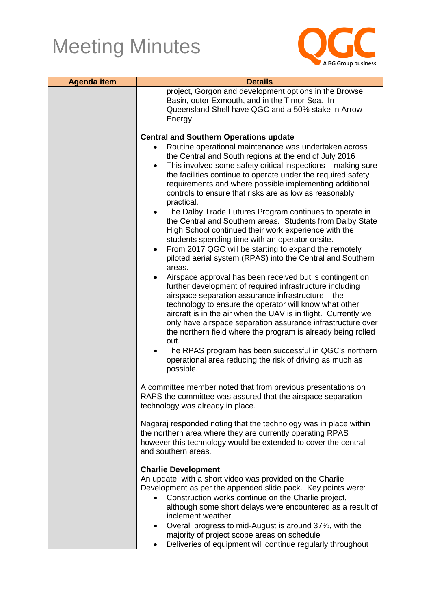

| <b>Agenda item</b> | <b>Details</b>                                                                                                                                                                                                                                                                                                                                                                                                                                                                                                                                                                                                                                                                                                                                                                                                                                                                                                                                                                                                                                                                                                                                                                                                                                                                                                                                                      |
|--------------------|---------------------------------------------------------------------------------------------------------------------------------------------------------------------------------------------------------------------------------------------------------------------------------------------------------------------------------------------------------------------------------------------------------------------------------------------------------------------------------------------------------------------------------------------------------------------------------------------------------------------------------------------------------------------------------------------------------------------------------------------------------------------------------------------------------------------------------------------------------------------------------------------------------------------------------------------------------------------------------------------------------------------------------------------------------------------------------------------------------------------------------------------------------------------------------------------------------------------------------------------------------------------------------------------------------------------------------------------------------------------|
|                    | project, Gorgon and development options in the Browse<br>Basin, outer Exmouth, and in the Timor Sea. In<br>Queensland Shell have QGC and a 50% stake in Arrow<br>Energy.                                                                                                                                                                                                                                                                                                                                                                                                                                                                                                                                                                                                                                                                                                                                                                                                                                                                                                                                                                                                                                                                                                                                                                                            |
|                    | <b>Central and Southern Operations update</b>                                                                                                                                                                                                                                                                                                                                                                                                                                                                                                                                                                                                                                                                                                                                                                                                                                                                                                                                                                                                                                                                                                                                                                                                                                                                                                                       |
|                    | Routine operational maintenance was undertaken across<br>the Central and South regions at the end of July 2016<br>This involved some safety critical inspections - making sure<br>$\bullet$<br>the facilities continue to operate under the required safety<br>requirements and where possible implementing additional<br>controls to ensure that risks are as low as reasonably<br>practical.<br>The Dalby Trade Futures Program continues to operate in<br>$\bullet$<br>the Central and Southern areas. Students from Dalby State<br>High School continued their work experience with the<br>students spending time with an operator onsite.<br>From 2017 QGC will be starting to expand the remotely<br>$\bullet$<br>piloted aerial system (RPAS) into the Central and Southern<br>areas.<br>Airspace approval has been received but is contingent on<br>further development of required infrastructure including<br>airspace separation assurance infrastructure - the<br>technology to ensure the operator will know what other<br>aircraft is in the air when the UAV is in flight. Currently we<br>only have airspace separation assurance infrastructure over<br>the northern field where the program is already being rolled<br>out.<br>The RPAS program has been successful in QGC's northern<br>operational area reducing the risk of driving as much as |
|                    | possible.<br>A committee member noted that from previous presentations on                                                                                                                                                                                                                                                                                                                                                                                                                                                                                                                                                                                                                                                                                                                                                                                                                                                                                                                                                                                                                                                                                                                                                                                                                                                                                           |
|                    | RAPS the committee was assured that the airspace separation<br>technology was already in place.                                                                                                                                                                                                                                                                                                                                                                                                                                                                                                                                                                                                                                                                                                                                                                                                                                                                                                                                                                                                                                                                                                                                                                                                                                                                     |
|                    | Nagaraj responded noting that the technology was in place within<br>the northern area where they are currently operating RPAS<br>however this technology would be extended to cover the central<br>and southern areas.                                                                                                                                                                                                                                                                                                                                                                                                                                                                                                                                                                                                                                                                                                                                                                                                                                                                                                                                                                                                                                                                                                                                              |
|                    | <b>Charlie Development</b><br>An update, with a short video was provided on the Charlie<br>Development as per the appended slide pack. Key points were:<br>Construction works continue on the Charlie project,<br>although some short delays were encountered as a result of<br>inclement weather<br>Overall progress to mid-August is around 37%, with the<br>$\bullet$<br>majority of project scope areas on schedule<br>Deliveries of equipment will continue regularly throughout                                                                                                                                                                                                                                                                                                                                                                                                                                                                                                                                                                                                                                                                                                                                                                                                                                                                               |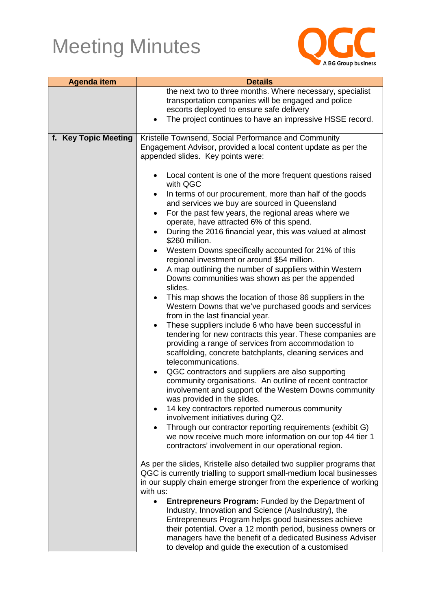

| <b>Agenda item</b>   | <b>Details</b>                                                                                                                               |  |
|----------------------|----------------------------------------------------------------------------------------------------------------------------------------------|--|
|                      | the next two to three months. Where necessary, specialist<br>transportation companies will be engaged and police                             |  |
|                      | escorts deployed to ensure safe delivery                                                                                                     |  |
|                      | The project continues to have an impressive HSSE record.                                                                                     |  |
|                      |                                                                                                                                              |  |
| f. Key Topic Meeting | Kristelle Townsend, Social Performance and Community                                                                                         |  |
|                      | Engagement Advisor, provided a local content update as per the                                                                               |  |
|                      | appended slides. Key points were:                                                                                                            |  |
|                      | Local content is one of the more frequent questions raised                                                                                   |  |
|                      | with QGC                                                                                                                                     |  |
|                      | In terms of our procurement, more than half of the goods<br>$\bullet$                                                                        |  |
|                      | and services we buy are sourced in Queensland                                                                                                |  |
|                      | For the past few years, the regional areas where we                                                                                          |  |
|                      | operate, have attracted 6% of this spend.<br>During the 2016 financial year, this was valued at almost                                       |  |
|                      | \$260 million.                                                                                                                               |  |
|                      | Western Downs specifically accounted for 21% of this<br>$\bullet$                                                                            |  |
|                      | regional investment or around \$54 million.                                                                                                  |  |
|                      | A map outlining the number of suppliers within Western                                                                                       |  |
|                      | Downs communities was shown as per the appended                                                                                              |  |
|                      | slides.<br>This map shows the location of those 86 suppliers in the<br>٠                                                                     |  |
|                      | Western Downs that we've purchased goods and services                                                                                        |  |
|                      | from in the last financial year.                                                                                                             |  |
|                      | These suppliers include 6 who have been successful in<br>$\bullet$                                                                           |  |
|                      | tendering for new contracts this year. These companies are                                                                                   |  |
|                      | providing a range of services from accommodation to                                                                                          |  |
|                      | scaffolding, concrete batchplants, cleaning services and<br>telecommunications.                                                              |  |
|                      | QGC contractors and suppliers are also supporting<br>٠                                                                                       |  |
|                      | community organisations. An outline of recent contractor                                                                                     |  |
|                      | involvement and support of the Western Downs community                                                                                       |  |
|                      | was provided in the slides.                                                                                                                  |  |
|                      | 14 key contractors reported numerous community<br>involvement initiatives during Q2.                                                         |  |
|                      | Through our contractor reporting requirements (exhibit G)                                                                                    |  |
|                      | we now receive much more information on our top 44 tier 1                                                                                    |  |
|                      | contractors' involvement in our operational region.                                                                                          |  |
|                      |                                                                                                                                              |  |
|                      | As per the slides, Kristelle also detailed two supplier programs that<br>QGC is currently trialling to support small-medium local businesses |  |
|                      | in our supply chain emerge stronger from the experience of working                                                                           |  |
|                      | with us:                                                                                                                                     |  |
|                      | <b>Entrepreneurs Program: Funded by the Department of</b>                                                                                    |  |
|                      | Industry, Innovation and Science (AusIndustry), the                                                                                          |  |
|                      | Entrepreneurs Program helps good businesses achieve                                                                                          |  |
|                      | their potential. Over a 12 month period, business owners or<br>managers have the benefit of a dedicated Business Adviser                     |  |
|                      | to develop and guide the execution of a customised                                                                                           |  |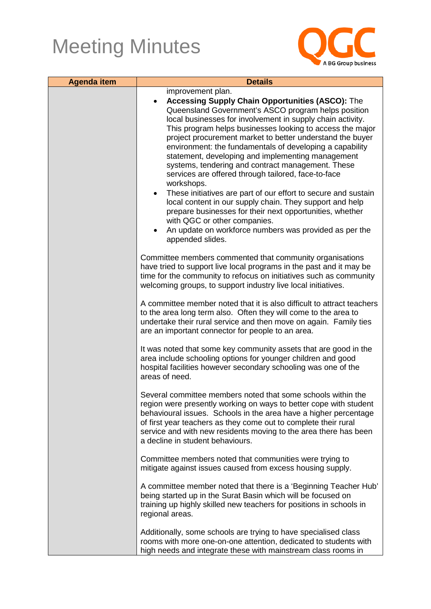

| <b>Agenda item</b> | <b>Details</b>                                                                                                                                                                                                                                                                                                                                                                                                                                                                                                                                                                                                                                                                                                                                                                                                                                                                 |
|--------------------|--------------------------------------------------------------------------------------------------------------------------------------------------------------------------------------------------------------------------------------------------------------------------------------------------------------------------------------------------------------------------------------------------------------------------------------------------------------------------------------------------------------------------------------------------------------------------------------------------------------------------------------------------------------------------------------------------------------------------------------------------------------------------------------------------------------------------------------------------------------------------------|
|                    | improvement plan.<br><b>Accessing Supply Chain Opportunities (ASCO): The</b><br>Queensland Government's ASCO program helps position<br>local businesses for involvement in supply chain activity.<br>This program helps businesses looking to access the major<br>project procurement market to better understand the buyer<br>environment: the fundamentals of developing a capability<br>statement, developing and implementing management<br>systems, tendering and contract management. These<br>services are offered through tailored, face-to-face<br>workshops.<br>These initiatives are part of our effort to secure and sustain<br>local content in our supply chain. They support and help<br>prepare businesses for their next opportunities, whether<br>with QGC or other companies.<br>An update on workforce numbers was provided as per the<br>appended slides. |
|                    | Committee members commented that community organisations<br>have tried to support live local programs in the past and it may be<br>time for the community to refocus on initiatives such as community<br>welcoming groups, to support industry live local initiatives.                                                                                                                                                                                                                                                                                                                                                                                                                                                                                                                                                                                                         |
|                    | A committee member noted that it is also difficult to attract teachers<br>to the area long term also. Often they will come to the area to<br>undertake their rural service and then move on again. Family ties<br>are an important connector for people to an area.                                                                                                                                                                                                                                                                                                                                                                                                                                                                                                                                                                                                            |
|                    | It was noted that some key community assets that are good in the<br>area include schooling options for younger children and good<br>hospital facilities however secondary schooling was one of the<br>areas of need.                                                                                                                                                                                                                                                                                                                                                                                                                                                                                                                                                                                                                                                           |
|                    | Several committee members noted that some schools within the<br>region were presently working on ways to better cope with student<br>behavioural issues. Schools in the area have a higher percentage<br>of first year teachers as they come out to complete their rural<br>service and with new residents moving to the area there has been<br>a decline in student behaviours.                                                                                                                                                                                                                                                                                                                                                                                                                                                                                               |
|                    | Committee members noted that communities were trying to<br>mitigate against issues caused from excess housing supply.                                                                                                                                                                                                                                                                                                                                                                                                                                                                                                                                                                                                                                                                                                                                                          |
|                    | A committee member noted that there is a 'Beginning Teacher Hub'<br>being started up in the Surat Basin which will be focused on<br>training up highly skilled new teachers for positions in schools in<br>regional areas.                                                                                                                                                                                                                                                                                                                                                                                                                                                                                                                                                                                                                                                     |
|                    | Additionally, some schools are trying to have specialised class<br>rooms with more one-on-one attention, dedicated to students with<br>high needs and integrate these with mainstream class rooms in                                                                                                                                                                                                                                                                                                                                                                                                                                                                                                                                                                                                                                                                           |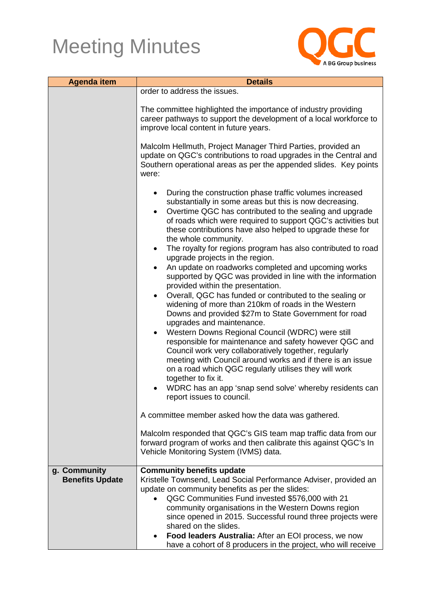

| <b>Agenda item</b>     | <b>Details</b>                                                                                                                                                                                                                                                                                                                                  |
|------------------------|-------------------------------------------------------------------------------------------------------------------------------------------------------------------------------------------------------------------------------------------------------------------------------------------------------------------------------------------------|
|                        | order to address the issues.                                                                                                                                                                                                                                                                                                                    |
|                        | The committee highlighted the importance of industry providing<br>career pathways to support the development of a local workforce to<br>improve local content in future years.                                                                                                                                                                  |
|                        | Malcolm Hellmuth, Project Manager Third Parties, provided an<br>update on QGC's contributions to road upgrades in the Central and<br>Southern operational areas as per the appended slides. Key points<br>were:                                                                                                                                 |
|                        | During the construction phase traffic volumes increased<br>substantially in some areas but this is now decreasing.<br>Overtime QGC has contributed to the sealing and upgrade<br>$\bullet$<br>of roads which were required to support QGC's activities but<br>these contributions have also helped to upgrade these for<br>the whole community. |
|                        | The royalty for regions program has also contributed to road<br>$\bullet$<br>upgrade projects in the region.<br>An update on roadworks completed and upcoming works<br>$\bullet$<br>supported by QGC was provided in line with the information<br>provided within the presentation.                                                             |
|                        | Overall, QGC has funded or contributed to the sealing or<br>$\bullet$<br>widening of more than 210km of roads in the Western<br>Downs and provided \$27m to State Government for road<br>upgrades and maintenance.<br>Western Downs Regional Council (WDRC) were still<br>$\bullet$                                                             |
|                        | responsible for maintenance and safety however QGC and<br>Council work very collaboratively together, regularly<br>meeting with Council around works and if there is an issue<br>on a road which QGC regularly utilises they will work<br>together to fix it.                                                                                   |
|                        | WDRC has an app 'snap send solve' whereby residents can<br>report issues to council.                                                                                                                                                                                                                                                            |
|                        | A committee member asked how the data was gathered.                                                                                                                                                                                                                                                                                             |
|                        | Malcolm responded that QGC's GIS team map traffic data from our<br>forward program of works and then calibrate this against QGC's In<br>Vehicle Monitoring System (IVMS) data.                                                                                                                                                                  |
| g. Community           | <b>Community benefits update</b>                                                                                                                                                                                                                                                                                                                |
| <b>Benefits Update</b> | Kristelle Townsend, Lead Social Performance Adviser, provided an<br>update on community benefits as per the slides:                                                                                                                                                                                                                             |
|                        | QGC Communities Fund invested \$576,000 with 21                                                                                                                                                                                                                                                                                                 |
|                        | community organisations in the Western Downs region<br>since opened in 2015. Successful round three projects were<br>shared on the slides.                                                                                                                                                                                                      |
|                        | Food leaders Australia: After an EOI process, we now<br>have a cohort of 8 producers in the project, who will receive                                                                                                                                                                                                                           |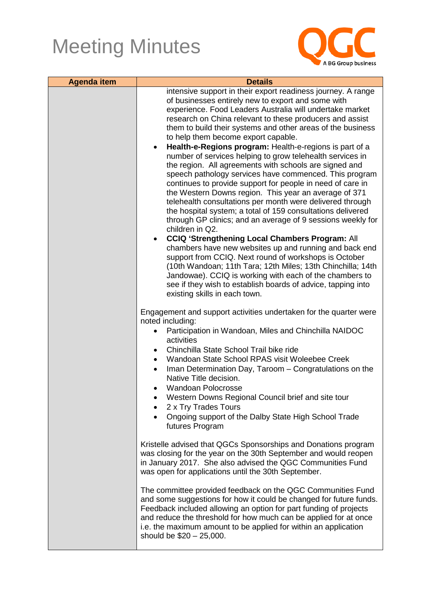

| <b>Agenda item</b> | <b>Details</b>                                                                                                                                                                                                                                                                                                                                                                                                                                                                                                                                                                                                                                                                                                                                                                                                                                                                                                                                                                                                                                                                                                                                                                                                                                                                                                                                         |
|--------------------|--------------------------------------------------------------------------------------------------------------------------------------------------------------------------------------------------------------------------------------------------------------------------------------------------------------------------------------------------------------------------------------------------------------------------------------------------------------------------------------------------------------------------------------------------------------------------------------------------------------------------------------------------------------------------------------------------------------------------------------------------------------------------------------------------------------------------------------------------------------------------------------------------------------------------------------------------------------------------------------------------------------------------------------------------------------------------------------------------------------------------------------------------------------------------------------------------------------------------------------------------------------------------------------------------------------------------------------------------------|
|                    | intensive support in their export readiness journey. A range<br>of businesses entirely new to export and some with<br>experience. Food Leaders Australia will undertake market<br>research on China relevant to these producers and assist<br>them to build their systems and other areas of the business<br>to help them become export capable.<br>Health-e-Regions program: Health-e-regions is part of a<br>$\bullet$<br>number of services helping to grow telehealth services in<br>the region. All agreements with schools are signed and<br>speech pathology services have commenced. This program<br>continues to provide support for people in need of care in<br>the Western Downs region. This year an average of 371<br>telehealth consultations per month were delivered through<br>the hospital system; a total of 159 consultations delivered<br>through GP clinics; and an average of 9 sessions weekly for<br>children in Q2.<br><b>CCIQ 'Strengthening Local Chambers Program: All</b><br>chambers have new websites up and running and back end<br>support from CCIQ. Next round of workshops is October<br>(10th Wandoan; 11th Tara; 12th Miles; 13th Chinchilla; 14th<br>Jandowae). CCIQ is working with each of the chambers to<br>see if they wish to establish boards of advice, tapping into<br>existing skills in each town. |
|                    | Engagement and support activities undertaken for the quarter were<br>noted including:<br>Participation in Wandoan, Miles and Chinchilla NAIDOC<br>$\bullet$<br>activities<br>Chinchilla State School Trail bike ride<br>$\bullet$<br>Wandoan State School RPAS visit Woleebee Creek<br>$\bullet$<br>Iman Determination Day, Taroom - Congratulations on the<br>$\bullet$<br>Native Title decision.<br><b>Wandoan Polocrosse</b><br>Western Downs Regional Council brief and site tour<br>$\bullet$<br>2 x Try Trades Tours<br>Ongoing support of the Dalby State High School Trade<br>futures Program                                                                                                                                                                                                                                                                                                                                                                                                                                                                                                                                                                                                                                                                                                                                                  |
|                    | Kristelle advised that QGCs Sponsorships and Donations program<br>was closing for the year on the 30th September and would reopen<br>in January 2017. She also advised the QGC Communities Fund<br>was open for applications until the 30th September.                                                                                                                                                                                                                                                                                                                                                                                                                                                                                                                                                                                                                                                                                                                                                                                                                                                                                                                                                                                                                                                                                                 |
|                    | The committee provided feedback on the QGC Communities Fund<br>and some suggestions for how it could be changed for future funds.<br>Feedback included allowing an option for part funding of projects<br>and reduce the threshold for how much can be applied for at once<br>i.e. the maximum amount to be applied for within an application<br>should be \$20 - 25,000.                                                                                                                                                                                                                                                                                                                                                                                                                                                                                                                                                                                                                                                                                                                                                                                                                                                                                                                                                                              |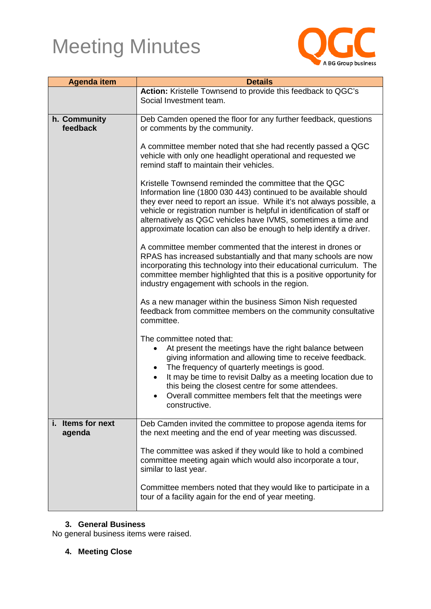

| <b>Agenda item</b>          | <b>Details</b>                                                                                                                                                                                                                                                                                                                                                                                                            |
|-----------------------------|---------------------------------------------------------------------------------------------------------------------------------------------------------------------------------------------------------------------------------------------------------------------------------------------------------------------------------------------------------------------------------------------------------------------------|
|                             | Action: Kristelle Townsend to provide this feedback to QGC's                                                                                                                                                                                                                                                                                                                                                              |
|                             | Social Investment team.                                                                                                                                                                                                                                                                                                                                                                                                   |
| h. Community                | Deb Camden opened the floor for any further feedback, questions                                                                                                                                                                                                                                                                                                                                                           |
| feedback                    | or comments by the community.                                                                                                                                                                                                                                                                                                                                                                                             |
|                             | A committee member noted that she had recently passed a QGC<br>vehicle with only one headlight operational and requested we<br>remind staff to maintain their vehicles.                                                                                                                                                                                                                                                   |
|                             | Kristelle Townsend reminded the committee that the QGC<br>Information line (1800 030 443) continued to be available should<br>they ever need to report an issue. While it's not always possible, a<br>vehicle or registration number is helpful in identification of staff or<br>alternatively as QGC vehicles have IVMS, sometimes a time and<br>approximate location can also be enough to help identify a driver.      |
|                             | A committee member commented that the interest in drones or<br>RPAS has increased substantially and that many schools are now<br>incorporating this technology into their educational curriculum. The<br>committee member highlighted that this is a positive opportunity for<br>industry engagement with schools in the region.                                                                                          |
|                             | As a new manager within the business Simon Nish requested<br>feedback from committee members on the community consultative<br>committee.                                                                                                                                                                                                                                                                                  |
|                             | The committee noted that:<br>At present the meetings have the right balance between<br>giving information and allowing time to receive feedback.<br>The frequency of quarterly meetings is good.<br>$\bullet$<br>It may be time to revisit Dalby as a meeting location due to<br>$\bullet$<br>this being the closest centre for some attendees.<br>Overall committee members felt that the meetings were<br>constructive. |
| i. Items for next<br>agenda | Deb Camden invited the committee to propose agenda items for<br>the next meeting and the end of year meeting was discussed.                                                                                                                                                                                                                                                                                               |
|                             | The committee was asked if they would like to hold a combined<br>committee meeting again which would also incorporate a tour,<br>similar to last year.                                                                                                                                                                                                                                                                    |
|                             | Committee members noted that they would like to participate in a<br>tour of a facility again for the end of year meeting.                                                                                                                                                                                                                                                                                                 |

#### **3. General Business**

No general business items were raised.

#### **4. Meeting Close**